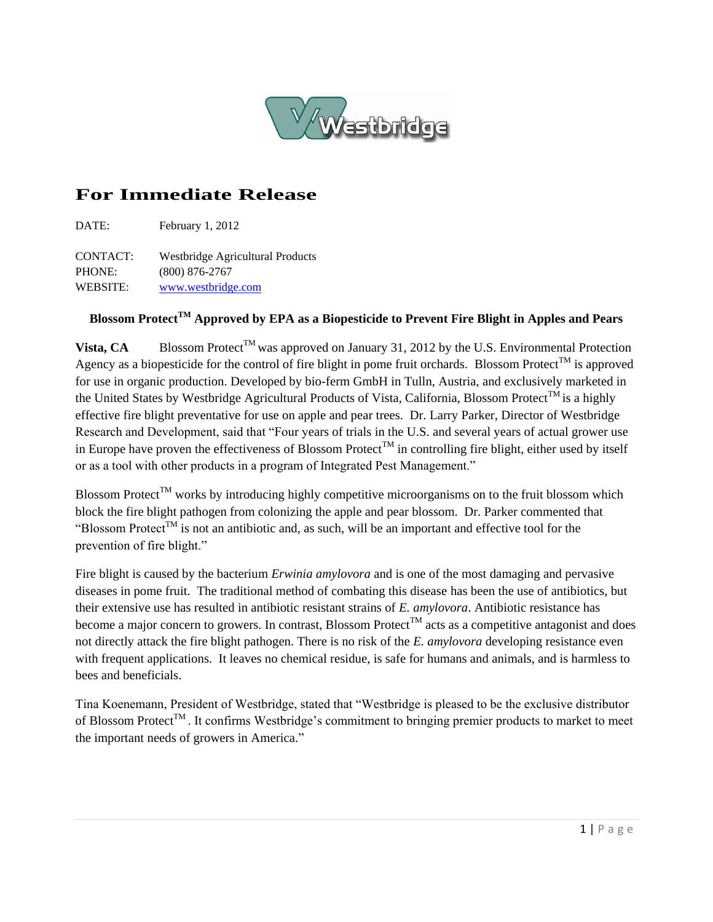

## **For Immediate Release**

DATE: February 1, 2012

CONTACT: Westbridge Agricultural Products PHONE: (800) 876-2767 WEBSITE: [www.westbridge.com](http://www.westbridge.com/)

## **Blossom ProtectTM Approved by EPA as a Biopesticide to Prevent Fire Blight in Apples and Pears**

**Vista, CA** Blossom Protect<sup>TM</sup> was approved on January 31, 2012 by the U.S. Environmental Protection Agency as a biopesticide for the control of fire blight in pome fruit orchards. Blossom Protect<sup>TM</sup> is approved for use in organic production. Developed by bio-ferm GmbH in Tulln, Austria, and exclusively marketed in the United States by Westbridge Agricultural Products of Vista, California, Blossom Protect<sup>TM</sup> is a highly effective fire blight preventative for use on apple and pear trees. Dr. Larry Parker, Director of Westbridge Research and Development, said that "Four years of trials in the U.S. and several years of actual grower use in Europe have proven the effectiveness of Blossom Protect<sup>TM</sup> in controlling fire blight, either used by itself or as a tool with other products in a program of Integrated Pest Management."

Blossom Protect<sup>TM</sup> works by introducing highly competitive microorganisms on to the fruit blossom which block the fire blight pathogen from colonizing the apple and pear blossom. Dr. Parker commented that "Blossom Protect<sup>TM</sup> is not an antibiotic and, as such, will be an important and effective tool for the prevention of fire blight."

Fire blight is caused by the bacterium *Erwinia amylovora* and is one of the most damaging and pervasive diseases in pome fruit. The traditional method of combating this disease has been the use of antibiotics, but their extensive use has resulted in antibiotic resistant strains of *E. amylovora*. Antibiotic resistance has become a major concern to growers. In contrast, Blossom Protect<sup>TM</sup> acts as a competitive antagonist and does not directly attack the fire blight pathogen. There is no risk of the *E. amylovora* developing resistance even with frequent applications. It leaves no chemical residue, is safe for humans and animals, and is harmless to bees and beneficials.

Tina Koenemann, President of Westbridge, stated that "Westbridge is pleased to be the exclusive distributor of Blossom Protect<sup>TM</sup>. It confirms Westbridge's commitment to bringing premier products to market to meet the important needs of growers in America."